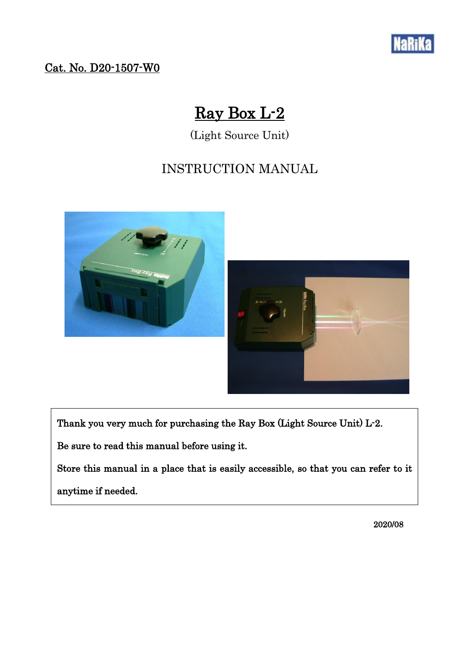

## Cat. No. D20-1507-W0

# Ray Box L-2

(Light Source Unit)

## INSTRUCTION MANUAL



Thank you very much for purchasing the Ray Box (Light Source Unit) L-2.

Be sure to read this manual before using it.

Store this manual in a place that is easily accessible, so that you can refer to it

anytime if needed.

2020/08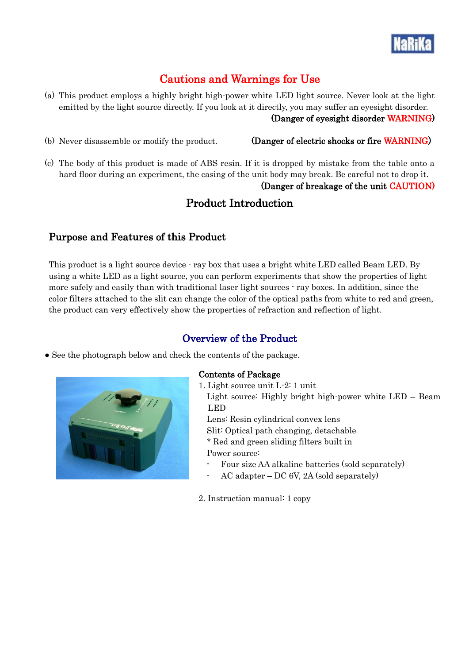

## Cautions and Warnings for Use

(a) This product employs a highly bright high-power white LED light source. Never look at the light emitted by the light source directly. If you look at it directly, you may suffer an eyesight disorder. (Danger of eyesight disorder WARNING)

#### (b) Never disassemble or modify the product. (Danger of electric shocks or fire WARNING)

(c) The body of this product is made of ABS resin. If it is dropped by mistake from the table onto a hard floor during an experiment, the casing of the unit body may break. Be careful not to drop it.

#### (Danger of breakage of the unit CAUTION)

## Product Introduction

### Purpose and Features of this Product

This product is a light source device - ray box that uses a bright white LED called Beam LED. By using a white LED as a light source, you can perform experiments that show the properties of light more safely and easily than with traditional laser light sources - ray boxes. In addition, since the color filters attached to the slit can change the color of the optical paths from white to red and green, the product can very effectively show the properties of refraction and reflection of light.

## Overview of the Product

• See the photograph below and check the contents of the package.



#### Contents of Package

1. Light source unit L-2: 1 unit

Light source: Highly bright high-power white LED – Beam LED

 Lens: Resin cylindrical convex lens Slit: Optical path changing, detachable \* Red and green sliding filters built in Power source:

- Four size AA alkaline batteries (sold separately)
- AC adapter DC 6V, 2A (sold separately)

2. Instruction manual: 1 copy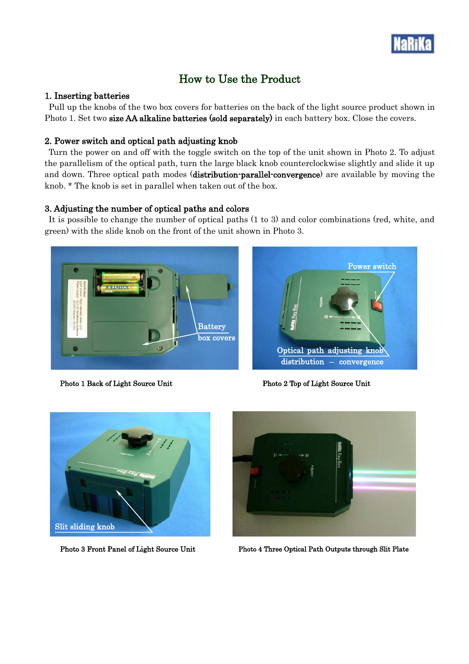

## How to Use the Product

#### 1. Inserting batteries

Pull up the knobs of the two box covers for batteries on the back of the light source product shown in Photo 1. Set two size AA alkaline batteries (sold separately) in each battery box. Close the covers.

#### 2. Power switch and optical path adjusting knob

Turn the power on and off with the toggle switch on the top of the unit shown in Photo 2. To adjust the parallelism of the optical path, turn the large black knob counterclockwise slightly and slide it up and down. Three optical path modes (distribution-parallel-convergence) are available by moving the knob. \* The knob is set in parallel when taken out of the box.

#### 3. Adjusting the number of optical paths and colors

It is possible to change the number of optical paths (1 to 3) and color combinations (red, white, and green) with the slide knob on the front of the unit shown in Photo 3.



Photo 1 Back of Light Source Unit Photo 2 Top of Light Source Unit







Photo 3 Front Panel of Light Source Unit Photo 4 Three Optical Path Outputs through Slit Plate